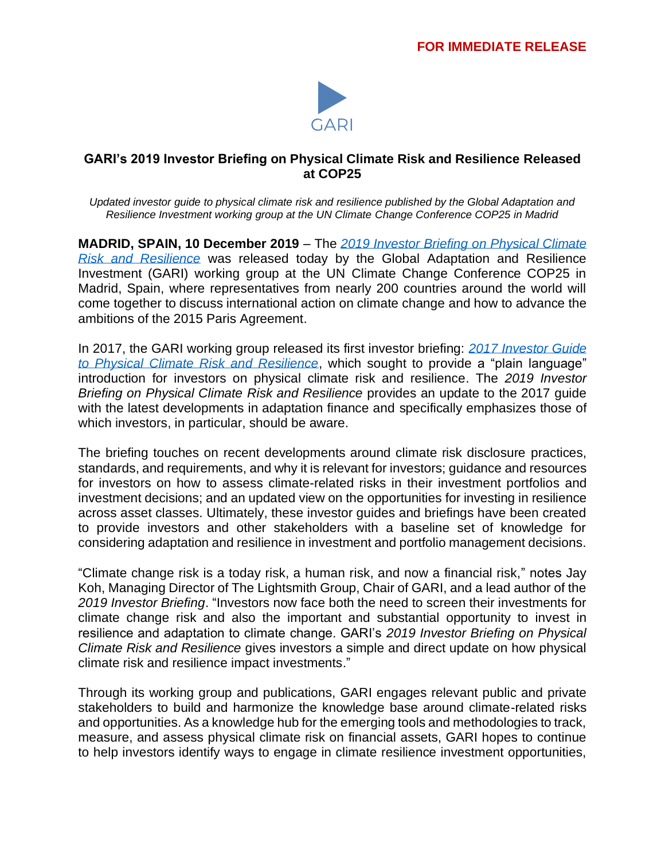

## **GARI's 2019 Investor Briefing on Physical Climate Risk and Resilience Released at COP25**

*Updated investor guide to physical climate risk and resilience published by the Global Adaptation and Resilience Investment working group at the UN Climate Change Conference COP25 in Madrid*

**MADRID, SPAIN, 10 December 2019** – The *[2019 Investor Briefing on Physical Climate](https://img1.wsimg.com/blobby/go/66c2ce28-dc91-4dc1-a0e1-a47d9ecdc17d/downloads/GARI%202019_Investor%20Briefing_vF.pdf?ver=1576688071216)  [Risk and Resilience](https://img1.wsimg.com/blobby/go/66c2ce28-dc91-4dc1-a0e1-a47d9ecdc17d/downloads/GARI%202019_Investor%20Briefing_vF.pdf?ver=1576688071216)* was released today by the Global Adaptation and Resilience Investment (GARI) working group at the UN Climate Change Conference COP25 in Madrid, Spain, where representatives from nearly 200 countries around the world will come together to discuss international action on climate change and how to advance the ambitions of the 2015 Paris Agreement.

In 2017, the GARI working group released its first investor briefing: *2017 [Investor Guide](https://img1.wsimg.com/blobby/go/66c2ce28-dc91-4dc1-a0e1-a47d9ecdc17d/downloads/1c1vkt0tb_46913.pdf)  [to Physical Climate Risk and Resilience](https://img1.wsimg.com/blobby/go/66c2ce28-dc91-4dc1-a0e1-a47d9ecdc17d/downloads/1c1vkt0tb_46913.pdf)*, which sought to provide a "plain language" introduction for investors on physical climate risk and resilience. The *2019 Investor Briefing on Physical Climate Risk and Resilience* provides an update to the 2017 guide with the latest developments in adaptation finance and specifically emphasizes those of which investors, in particular, should be aware.

The briefing touches on recent developments around climate risk disclosure practices, standards, and requirements, and why it is relevant for investors; guidance and resources for investors on how to assess climate-related risks in their investment portfolios and investment decisions; and an updated view on the opportunities for investing in resilience across asset classes. Ultimately, these investor guides and briefings have been created to provide investors and other stakeholders with a baseline set of knowledge for considering adaptation and resilience in investment and portfolio management decisions.

"Climate change risk is a today risk, a human risk, and now a financial risk," notes Jay Koh, Managing Director of The Lightsmith Group, Chair of GARI, and a lead author of the *2019 Investor Briefing*. "Investors now face both the need to screen their investments for climate change risk and also the important and substantial opportunity to invest in resilience and adaptation to climate change. GARI's *2019 Investor Briefing on Physical Climate Risk and Resilience* gives investors a simple and direct update on how physical climate risk and resilience impact investments."

Through its working group and publications, GARI engages relevant public and private stakeholders to build and harmonize the knowledge base around climate-related risks and opportunities. As a knowledge hub for the emerging tools and methodologies to track, measure, and assess physical climate risk on financial assets, GARI hopes to continue to help investors identify ways to engage in climate resilience investment opportunities,